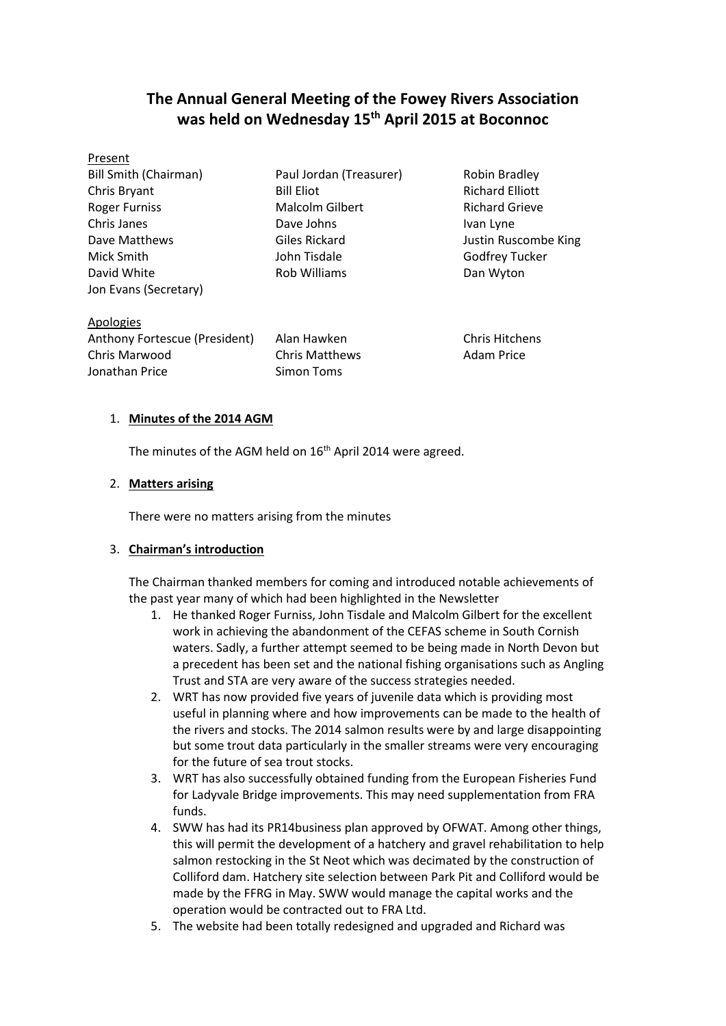# **The Annual General Meeting of the Fowey Rivers Association was held on Wednesday 15 th April 2015 at Boconnoc**

| Present                                      |                                             |                       |
|----------------------------------------------|---------------------------------------------|-----------------------|
| <b>Bill Smith (Chairman)</b>                 | Robin Bradley<br>Paul Jordan (Treasurer)    |                       |
| Chris Bryant                                 | <b>Richard Elliott</b><br><b>Bill Eliot</b> |                       |
| <b>Roger Furniss</b>                         | Malcolm Gilbert<br><b>Richard Grieve</b>    |                       |
| Chris Janes                                  | Dave Johns<br>Ivan Lyne                     |                       |
| Dave Matthews                                | Giles Rickard<br>Justin Ruscombe King       |                       |
| Mick Smith                                   | Godfrey Tucker<br>John Tisdale              |                       |
| David White                                  | Rob Williams<br>Dan Wyton                   |                       |
| Jon Evans (Secretary)                        |                                             |                       |
| Apologies                                    |                                             |                       |
| Anthony Fortescue (President)<br>Alan Hawken |                                             | <b>Chris Hitchens</b> |
| Chris Marwood                                | <b>Chris Matthews</b>                       | Adam Price            |

## 1. **Minutes of the 2014 AGM**

Jonathan Price Simon Toms

The minutes of the AGM held on  $16<sup>th</sup>$  April 2014 were agreed.

### 2. **Matters arising**

There were no matters arising from the minutes

## 3. **Chairman's introduction**

The Chairman thanked members for coming and introduced notable achievements of the past year many of which had been highlighted in the Newsletter

- 1. He thanked Roger Furniss, John Tisdale and Malcolm Gilbert for the excellent work in achieving the abandonment of the CEFAS scheme in South Cornish waters. Sadly, a further attempt seemed to be being made in North Devon but a precedent has been set and the national fishing organisations such as Angling Trust and STA are very aware of the success strategies needed.
- 2. WRT has now provided five years of juvenile data which is providing most useful in planning where and how improvements can be made to the health of the rivers and stocks. The 2014 salmon results were by and large disappointing but some trout data particularly in the smaller streams were very encouraging for the future of sea trout stocks.
- 3. WRT has also successfully obtained funding from the European Fisheries Fund for Ladyvale Bridge improvements. This may need supplementation from FRA funds.
- 4. SWW has had its PR14business plan approved by OFWAT. Among other things, this will permit the development of a hatchery and gravel rehabilitation to help salmon restocking in the St Neot which was decimated by the construction of Colliford dam. Hatchery site selection between Park Pit and Colliford would be made by the FFRG in May. SWW would manage the capital works and the operation would be contracted out to FRA Ltd.
- 5. The website had been totally redesigned and upgraded and Richard was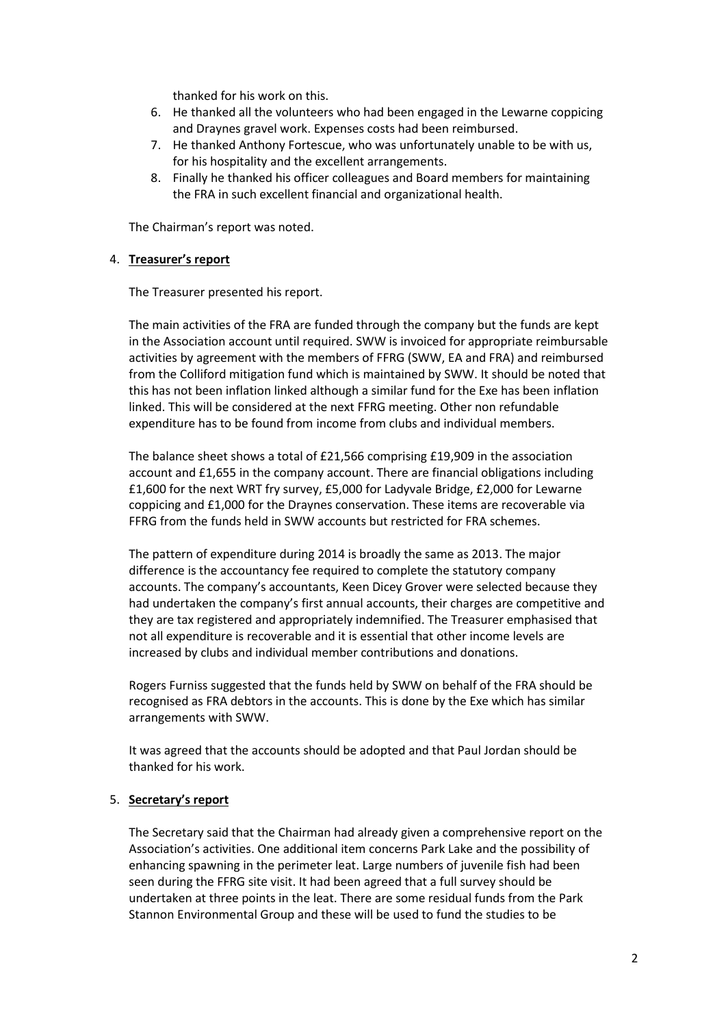thanked for his work on this.

- 6. He thanked all the volunteers who had been engaged in the Lewarne coppicing and Draynes gravel work. Expenses costs had been reimbursed.
- 7. He thanked Anthony Fortescue, who was unfortunately unable to be with us, for his hospitality and the excellent arrangements.
- 8. Finally he thanked his officer colleagues and Board members for maintaining the FRA in such excellent financial and organizational health.

The Chairman's report was noted.

#### 4. **Treasurer's report**

The Treasurer presented his report.

The main activities of the FRA are funded through the company but the funds are kept in the Association account until required. SWW is invoiced for appropriate reimbursable activities by agreement with the members of FFRG (SWW, EA and FRA) and reimbursed from the Colliford mitigation fund which is maintained by SWW. It should be noted that this has not been inflation linked although a similar fund for the Exe has been inflation linked. This will be considered at the next FFRG meeting. Other non refundable expenditure has to be found from income from clubs and individual members.

The balance sheet shows a total of £21,566 comprising £19,909 in the association account and £1,655 in the company account. There are financial obligations including £1,600 for the next WRT fry survey, £5,000 for Ladyvale Bridge, £2,000 for Lewarne coppicing and £1,000 for the Draynes conservation. These items are recoverable via FFRG from the funds held in SWW accounts but restricted for FRA schemes.

The pattern of expenditure during 2014 is broadly the same as 2013. The major difference is the accountancy fee required to complete the statutory company accounts. The company's accountants, Keen Dicey Grover were selected because they had undertaken the company's first annual accounts, their charges are competitive and they are tax registered and appropriately indemnified. The Treasurer emphasised that not all expenditure is recoverable and it is essential that other income levels are increased by clubs and individual member contributions and donations.

Rogers Furniss suggested that the funds held by SWW on behalf of the FRA should be recognised as FRA debtors in the accounts. This is done by the Exe which has similar arrangements with SWW.

It was agreed that the accounts should be adopted and that Paul Jordan should be thanked for his work.

### 5. **Secretary's report**

The Secretary said that the Chairman had already given a comprehensive report on the Association's activities. One additional item concerns Park Lake and the possibility of enhancing spawning in the perimeter leat. Large numbers of juvenile fish had been seen during the FFRG site visit. It had been agreed that a full survey should be undertaken at three points in the leat. There are some residual funds from the Park Stannon Environmental Group and these will be used to fund the studies to be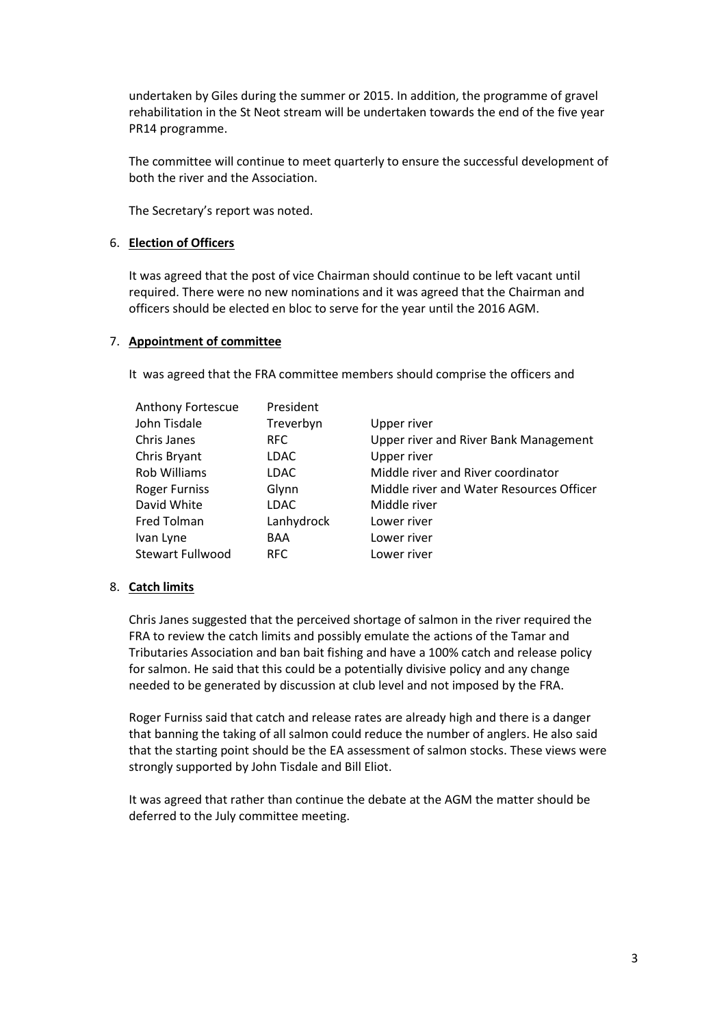undertaken by Giles during the summer or 2015. In addition, the programme of gravel rehabilitation in the St Neot stream will be undertaken towards the end of the five year PR14 programme.

The committee will continue to meet quarterly to ensure the successful development of both the river and the Association.

The Secretary's report was noted.

## 6. **Election of Officers**

It was agreed that the post of vice Chairman should continue to be left vacant until required. There were no new nominations and it was agreed that the Chairman and officers should be elected en bloc to serve for the year until the 2016 AGM.

## 7. **Appointment of committee**

It was agreed that the FRA committee members should comprise the officers and

| <b>Anthony Fortescue</b> | President  |                                          |
|--------------------------|------------|------------------------------------------|
| John Tisdale             | Treverbyn  | Upper river                              |
| Chris Janes              | RFC        | Upper river and River Bank Management    |
| Chris Bryant             | LDAC       | Upper river                              |
| Rob Williams             | LDAC       | Middle river and River coordinator       |
| Roger Furniss            | Glynn      | Middle river and Water Resources Officer |
| David White              | LDAC       | Middle river                             |
| Fred Tolman              | Lanhydrock | Lower river                              |
| Ivan Lyne                | <b>BAA</b> | Lower river                              |
| <b>Stewart Fullwood</b>  | RFC        | Lower river                              |

## 8. **Catch limits**

Chris Janes suggested that the perceived shortage of salmon in the river required the FRA to review the catch limits and possibly emulate the actions of the Tamar and Tributaries Association and ban bait fishing and have a 100% catch and release policy for salmon. He said that this could be a potentially divisive policy and any change needed to be generated by discussion at club level and not imposed by the FRA.

Roger Furniss said that catch and release rates are already high and there is a danger that banning the taking of all salmon could reduce the number of anglers. He also said that the starting point should be the EA assessment of salmon stocks. These views were strongly supported by John Tisdale and Bill Eliot.

It was agreed that rather than continue the debate at the AGM the matter should be deferred to the July committee meeting.